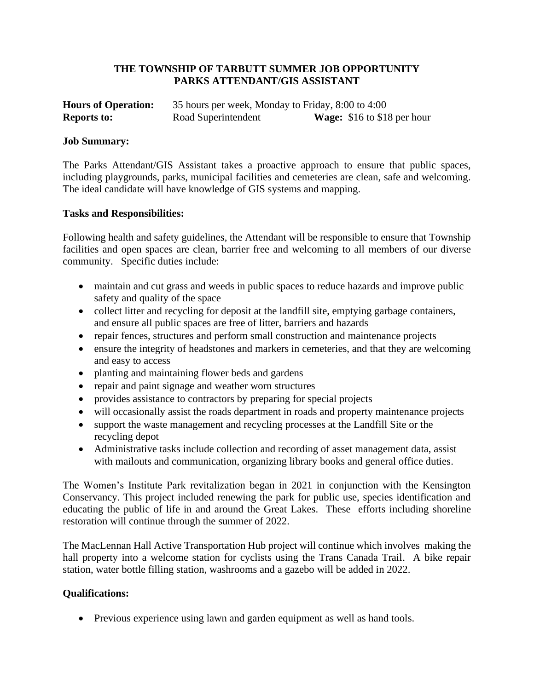## **THE TOWNSHIP OF TARBUTT SUMMER JOB OPPORTUNITY PARKS ATTENDANT/GIS ASSISTANT**

| <b>Hours of Operation:</b> | 35 hours per week, Monday to Friday, 8:00 to 4:00 |                                      |
|----------------------------|---------------------------------------------------|--------------------------------------|
| <b>Reports to:</b>         | Road Superintendent                               | <b>Wage:</b> $$16$ to $$18$ per hour |

## **Job Summary:**

The Parks Attendant/GIS Assistant takes a proactive approach to ensure that public spaces, including playgrounds, parks, municipal facilities and cemeteries are clean, safe and welcoming. The ideal candidate will have knowledge of GIS systems and mapping.

## **Tasks and Responsibilities:**

Following health and safety guidelines, the Attendant will be responsible to ensure that Township facilities and open spaces are clean, barrier free and welcoming to all members of our diverse community. Specific duties include:

- maintain and cut grass and weeds in public spaces to reduce hazards and improve public safety and quality of the space
- collect litter and recycling for deposit at the landfill site, emptying garbage containers, and ensure all public spaces are free of litter, barriers and hazards
- repair fences, structures and perform small construction and maintenance projects
- ensure the integrity of headstones and markers in cemeteries, and that they are welcoming and easy to access
- planting and maintaining flower beds and gardens
- repair and paint signage and weather worn structures
- provides assistance to contractors by preparing for special projects
- will occasionally assist the roads department in roads and property maintenance projects
- support the waste management and recycling processes at the Landfill Site or the recycling depot
- Administrative tasks include collection and recording of asset management data, assist with mailouts and communication, organizing library books and general office duties.

The Women's Institute Park revitalization began in 2021 in conjunction with the Kensington Conservancy. This project included renewing the park for public use, species identification and educating the public of life in and around the Great Lakes. These efforts including shoreline restoration will continue through the summer of 2022.

The MacLennan Hall Active Transportation Hub project will continue which involves making the hall property into a welcome station for cyclists using the Trans Canada Trail. A bike repair station, water bottle filling station, washrooms and a gazebo will be added in 2022.

## **Qualifications:**

• Previous experience using lawn and garden equipment as well as hand tools.